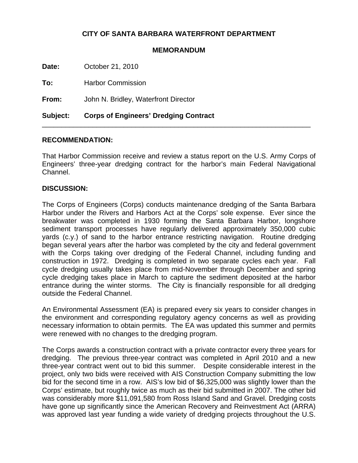## **CITY OF SANTA BARBARA WATERFRONT DEPARTMENT**

## **MEMORANDUM**

**Date:** October 21, 2010

**To:** Harbor Commission

**From:** John N. Bridley, Waterfront Director

**Subject: Corps of Engineers' Dredging Contract**

## **RECOMMENDATION:**

That Harbor Commission receive and review a status report on the U.S. Army Corps of Engineers' three-year dredging contract for the harbor's main Federal Navigational Channel.

\_\_\_\_\_\_\_\_\_\_\_\_\_\_\_\_\_\_\_\_\_\_\_\_\_\_\_\_\_\_\_\_\_\_\_\_\_\_\_\_\_\_\_\_\_\_\_\_\_\_\_\_\_\_\_\_\_\_\_\_\_\_\_\_\_\_\_\_\_

## **DISCUSSION:**

The Corps of Engineers (Corps) conducts maintenance dredging of the Santa Barbara Harbor under the Rivers and Harbors Act at the Corps' sole expense. Ever since the breakwater was completed in 1930 forming the Santa Barbara Harbor, longshore sediment transport processes have regularly delivered approximately 350,000 cubic yards (c.y.) of sand to the harbor entrance restricting navigation. Routine dredging began several years after the harbor was completed by the city and federal government with the Corps taking over dredging of the Federal Channel, including funding and construction in 1972. Dredging is completed in two separate cycles each year. Fall cycle dredging usually takes place from mid-November through December and spring cycle dredging takes place in March to capture the sediment deposited at the harbor entrance during the winter storms. The City is financially responsible for all dredging outside the Federal Channel.

An Environmental Assessment (EA) is prepared every six years to consider changes in the environment and corresponding regulatory agency concerns as well as providing necessary information to obtain permits. The EA was updated this summer and permits were renewed with no changes to the dredging program.

The Corps awards a construction contract with a private contractor every three years for dredging. The previous three-year contract was completed in April 2010 and a new three-year contract went out to bid this summer. Despite considerable interest in the project, only two bids were received with AIS Construction Company submitting the low bid for the second time in a row. AIS's low bid of \$6,325,000 was slightly lower than the Corps' estimate, but roughly twice as much as their bid submitted in 2007. The other bid was considerably more \$11,091,580 from Ross Island Sand and Gravel. Dredging costs have gone up significantly since the American Recovery and Reinvestment Act (ARRA) was approved last year funding a wide variety of dredging projects throughout the U.S.